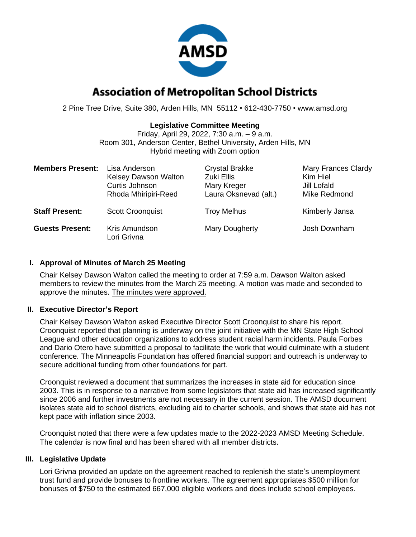

# **Association of Metropolitan School Districts**

2 Pine Tree Drive, Suite 380, Arden Hills, MN 55112 • 612-430-7750 • www.amsd.org

## **Legislative Committee Meeting**

Friday, April 29, 2022, 7:30 a.m. – 9 a.m. Room 301, Anderson Center, Bethel University, Arden Hills, MN Hybrid meeting with Zoom option

| <b>Members Present:</b> | Lisa Anderson<br>Kelsey Dawson Walton<br>Curtis Johnson<br>Rhoda Mhiripiri-Reed | <b>Crystal Brakke</b><br>Zuki Ellis<br>Mary Kreger<br>Laura Oksnevad (alt.) | <b>Mary Frances Clardy</b><br>Kim Hiel<br>Jill Lofald<br>Mike Redmond |
|-------------------------|---------------------------------------------------------------------------------|-----------------------------------------------------------------------------|-----------------------------------------------------------------------|
| <b>Staff Present:</b>   | <b>Scott Croonquist</b>                                                         | <b>Troy Melhus</b>                                                          | Kimberly Jansa                                                        |
| <b>Guests Present:</b>  | Kris Amundson<br>Lori Grivna                                                    | Mary Dougherty                                                              | Josh Downham                                                          |

# **I. Approval of Minutes of March 25 Meeting**

Chair Kelsey Dawson Walton called the meeting to order at 7:59 a.m. Dawson Walton asked members to review the minutes from the March 25 meeting. A motion was made and seconded to approve the minutes. The minutes were approved.

### **II. Executive Director's Report**

Chair Kelsey Dawson Walton asked Executive Director Scott Croonquist to share his report. Croonquist reported that planning is underway on the joint initiative with the MN State High School League and other education organizations to address student racial harm incidents. Paula Forbes and Dario Otero have submitted a proposal to facilitate the work that would culminate with a student conference. The Minneapolis Foundation has offered financial support and outreach is underway to secure additional funding from other foundations for part.

Croonquist reviewed a document that summarizes the increases in state aid for education since 2003. This is in response to a narrative from some legislators that state aid has increased significantly since 2006 and further investments are not necessary in the current session. The AMSD document isolates state aid to school districts, excluding aid to charter schools, and shows that state aid has not kept pace with inflation since 2003.

Croonquist noted that there were a few updates made to the 2022-2023 AMSD Meeting Schedule. The calendar is now final and has been shared with all member districts.

### **III. Legislative Update**

Lori Grivna provided an update on the agreement reached to replenish the state's unemployment trust fund and provide bonuses to frontline workers. The agreement appropriates \$500 million for bonuses of \$750 to the estimated 667,000 eligible workers and does include school employees.